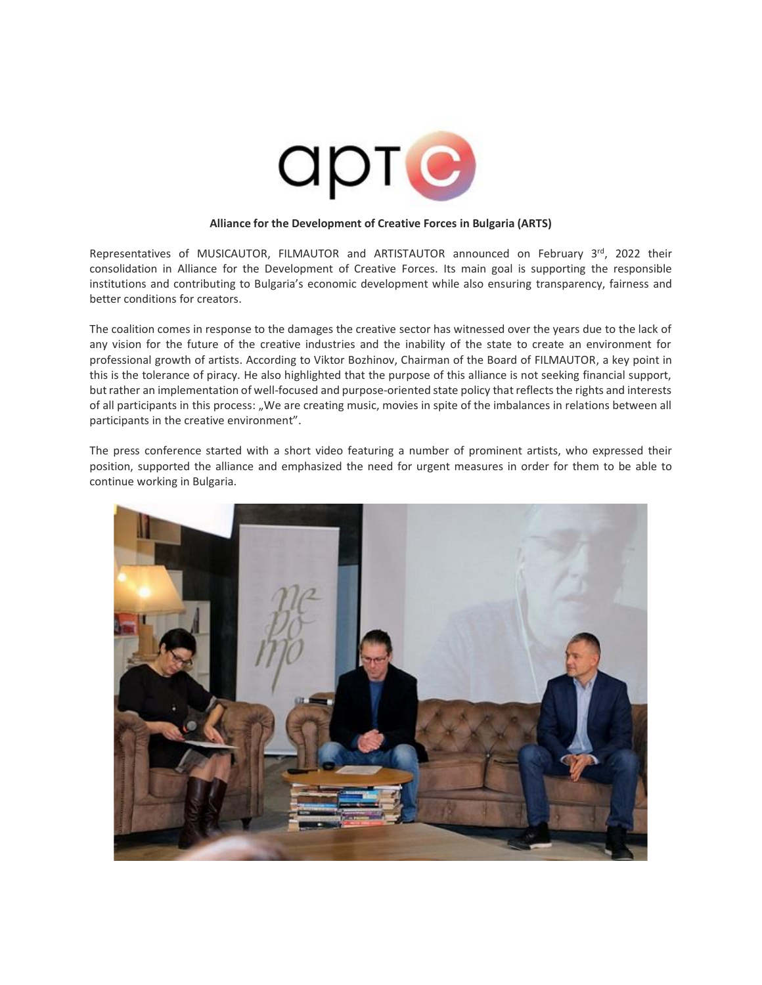

## **Alliance for the Development of Creative Forces in Bulgaria (ARTS)**

Representatives of MUSICAUTOR, FILMAUTOR and ARTISTAUTOR announced on February 3rd, 2022 their consolidation in Alliance for the Development of Creative Forces. Its main goal is supporting the responsible institutions and contributing to Bulgaria's economic development while also ensuring transparency, fairness and better conditions for creators.

The coalition comes in response to the damages the creative sector has witnessed over the years due to the lack of any vision for the future of the creative industries and the inability of the state to create an environment for professional growth of artists. According to Viktor Bozhinov, Chairman of the Board of FILMAUTOR, a key point in this is the tolerance of piracy. He also highlighted that the purpose of this alliance is not seeking financial support, but rather an implementation of well-focused and purpose-oriented state policy that reflects the rights and interests of all participants in this process: "We are creating music, movies in spite of the imbalances in relations between all participants in the creative environment".

The press conference started with a short video featuring a number of prominent artists, who expressed their position, supported the alliance and emphasized the need for urgent measures in order for them to be able to continue working in Bulgaria.